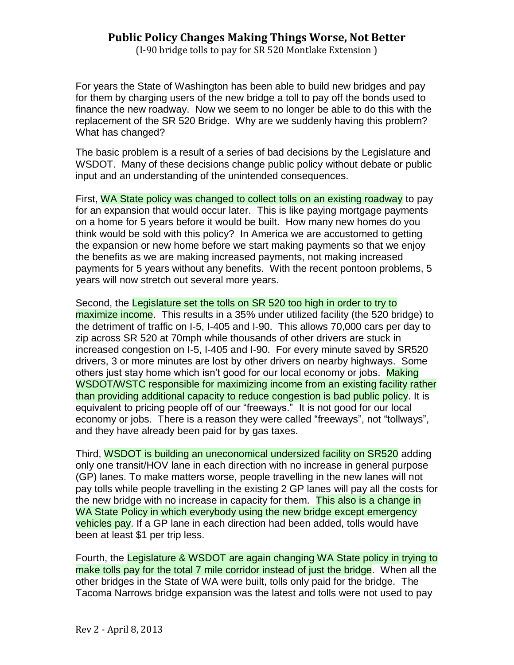## **Public Policy Changes Making Things Worse, Not Better**

(I-90 bridge tolls to pay for SR 520 Montlake Extension )

For years the State of Washington has been able to build new bridges and pay for them by charging users of the new bridge a toll to pay off the bonds used to finance the new roadway. Now we seem to no longer be able to do this with the replacement of the SR 520 Bridge. Why are we suddenly having this problem? What has changed?

The basic problem is a result of a series of bad decisions by the Legislature and WSDOT. Many of these decisions change public policy without debate or public input and an understanding of the unintended consequences.

First, WA State policy was changed to collect tolls on an existing roadway to pay for an expansion that would occur later. This is like paying mortgage payments on a home for 5 years before it would be built. How many new homes do you think would be sold with this policy? In America we are accustomed to getting the expansion or new home before we start making payments so that we enjoy the benefits as we are making increased payments, not making increased payments for 5 years without any benefits. With the recent pontoon problems, 5 years will now stretch out several more years.

Second, the Legislature set the tolls on SR 520 too high in order to try to maximize income. This results in a 35% under utilized facility (the 520 bridge) to the detriment of traffic on I-5, I-405 and I-90. This allows 70,000 cars per day to zip across SR 520 at 70mph while thousands of other drivers are stuck in increased congestion on I-5, I-405 and I-90. For every minute saved by SR520 drivers, 3 or more minutes are lost by other drivers on nearby highways. Some others just stay home which isn't good for our local economy or jobs. Making WSDOT/WSTC responsible for maximizing income from an existing facility rather than providing additional capacity to reduce congestion is bad public policy. It is equivalent to pricing people off of our "freeways." It is not good for our local economy or jobs. There is a reason they were called "freeways", not "tollways", and they have already been paid for by gas taxes.

Third, WSDOT is building an uneconomical undersized facility on SR520 adding only one transit/HOV lane in each direction with no increase in general purpose (GP) lanes. To make matters worse, people travelling in the new lanes will not pay tolls while people travelling in the existing 2 GP lanes will pay all the costs for the new bridge with no increase in capacity for them. This also is a change in WA State Policy in which everybody using the new bridge except emergency vehicles pay. If a GP lane in each direction had been added, tolls would have been at least \$1 per trip less.

Fourth, the Legislature & WSDOT are again changing WA State policy in trying to make tolls pay for the total 7 mile corridor instead of just the bridge. When all the other bridges in the State of WA were built, tolls only paid for the bridge. The Tacoma Narrows bridge expansion was the latest and tolls were not used to pay